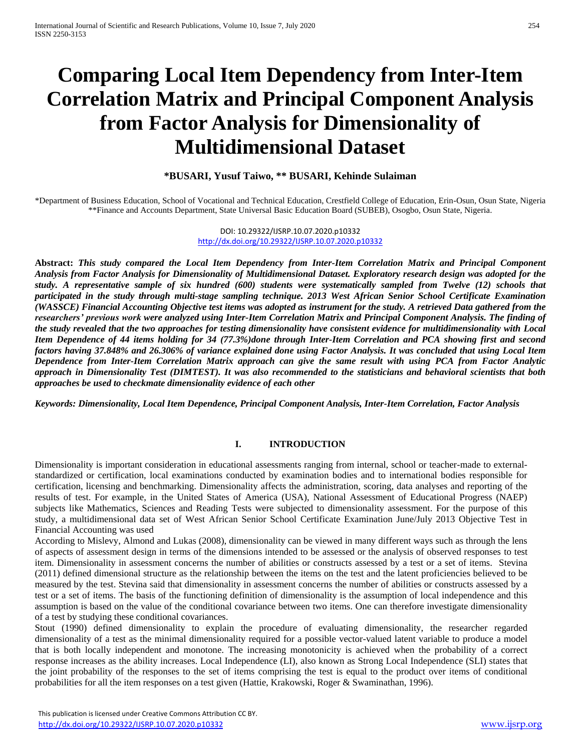# **Comparing Local Item Dependency from Inter-Item Correlation Matrix and Principal Component Analysis from Factor Analysis for Dimensionality of Multidimensional Dataset**

### **\*BUSARI, Yusuf Taiwo, \*\* BUSARI, Kehinde Sulaiman**

\*Department of Business Education, School of Vocational and Technical Education, Crestfield College of Education, Erin-Osun, Osun State, Nigeria \*\*Finance and Accounts Department, State Universal Basic Education Board (SUBEB), Osogbo, Osun State, Nigeria.

> DOI: 10.29322/IJSRP.10.07.2020.p10332 <http://dx.doi.org/10.29322/IJSRP.10.07.2020.p10332>

**Abstract:** *This study compared the Local Item Dependency from Inter-Item Correlation Matrix and Principal Component Analysis from Factor Analysis for Dimensionality of Multidimensional Dataset. Exploratory research design was adopted for the study. A representative sample of six hundred (600) students were systematically sampled from Twelve (12) schools that participated in the study through multi-stage sampling technique. 2013 West African Senior School Certificate Examination (WASSCE) Financial Accounting Objective test items was adopted as instrument for the study. A retrieved Data gathered from the researchers' previous work were analyzed using Inter-Item Correlation Matrix and Principal Component Analysis. The finding of the study revealed that the two approaches for testing dimensionality have consistent evidence for multidimensionality with Local Item Dependence of 44 items holding for 34 (77.3%)done through Inter-Item Correlation and PCA showing first and second factors having 37.848% and 26.306% of variance explained done using Factor Analysis. It was concluded that using Local Item Dependence from Inter-Item Correlation Matrix approach can give the same result with using PCA from Factor Analytic approach in Dimensionality Test (DIMTEST). It was also recommended to the statisticians and behavioral scientists that both approaches be used to checkmate dimensionality evidence of each other*

*Keywords: Dimensionality, Local Item Dependence, Principal Component Analysis, Inter-Item Correlation, Factor Analysis*

# **I. INTRODUCTION**

Dimensionality is important consideration in educational assessments ranging from internal, school or teacher-made to externalstandardized or certification, local examinations conducted by examination bodies and to international bodies responsible for certification, licensing and benchmarking. Dimensionality affects the administration, scoring, data analyses and reporting of the results of test. For example, in the United States of America (USA), National Assessment of Educational Progress (NAEP) subjects like Mathematics, Sciences and Reading Tests were subjected to dimensionality assessment. For the purpose of this study, a multidimensional data set of West African Senior School Certificate Examination June/July 2013 Objective Test in Financial Accounting was used

According to Mislevy, Almond and Lukas (2008), dimensionality can be viewed in many different ways such as through the lens of aspects of assessment design in terms of the dimensions intended to be assessed or the analysis of observed responses to test item. Dimensionality in assessment concerns the number of abilities or constructs assessed by a test or a set of items. Stevina (2011) defined dimensional structure as the relationship between the items on the test and the latent proficiencies believed to be measured by the test. Stevina said that dimensionality in assessment concerns the number of abilities or constructs assessed by a test or a set of items. The basis of the functioning definition of dimensionality is the assumption of local independence and this assumption is based on the value of the conditional covariance between two items. One can therefore investigate dimensionality of a test by studying these conditional covariances.

Stout (1990) defined dimensionality to explain the procedure of evaluating dimensionality, the researcher regarded dimensionality of a test as the minimal dimensionality required for a possible vector-valued latent variable to produce a model that is both locally independent and monotone. The increasing monotonicity is achieved when the probability of a correct response increases as the ability increases. Local Independence (LI), also known as Strong Local Independence (SLI) states that the joint probability of the responses to the set of items comprising the test is equal to the product over items of conditional probabilities for all the item responses on a test given (Hattie, Krakowski, Roger & Swaminathan, 1996).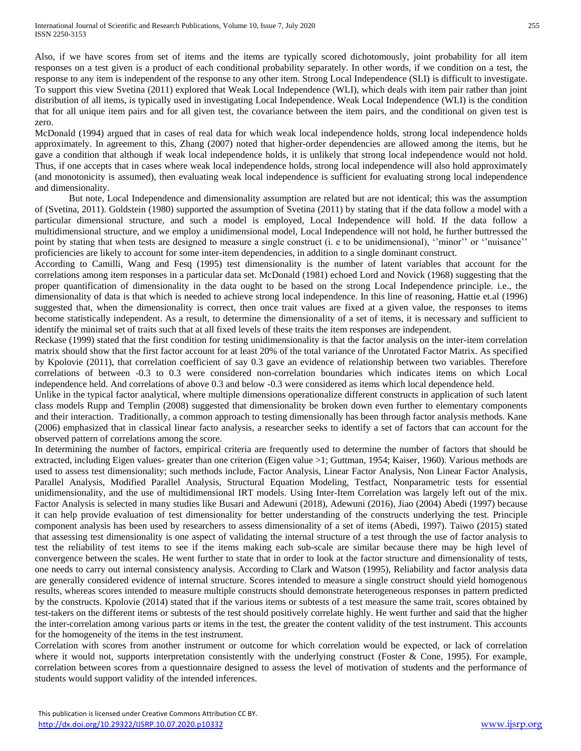Also, if we have scores from set of items and the items are typically scored dichotomously, joint probability for all item responses on a test given is a product of each conditional probability separately. In other words, if we condition on a test, the response to any item is independent of the response to any other item. Strong Local Independence (SLI) is difficult to investigate. To support this view Svetina (2011) explored that Weak Local Independence (WLI), which deals with item pair rather than joint distribution of all items, is typically used in investigating Local Independence. Weak Local Independence (WLI) is the condition that for all unique item pairs and for all given test, the covariance between the item pairs, and the conditional on given test is zero.

McDonald (1994) argued that in cases of real data for which weak local independence holds, strong local independence holds approximately. In agreement to this, Zhang (2007) noted that higher-order dependencies are allowed among the items, but he gave a condition that although if weak local independence holds, it is unlikely that strong local independence would not hold. Thus, if one accepts that in cases where weak local independence holds, strong local independence will also hold approximately (and monotonicity is assumed), then evaluating weak local independence is sufficient for evaluating strong local independence and dimensionality.

But note, Local Independence and dimensionality assumption are related but are not identical; this was the assumption of (Svetina, 2011). Goldstein (1980) supported the assumption of Svetina (2011) by stating that if the data follow a model with a particular dimensional structure, and such a model is employed, Local Independence will hold. If the data follow a multidimensional structure, and we employ a unidimensional model, Local Independence will not hold, he further buttressed the point by stating that when tests are designed to measure a single construct (i. e to be unidimensional), ''minor'' or ''nuisance'' proficiencies are likely to account for some inter-item dependencies, in addition to a single dominant construct.

According to Camilli, Wang and Fesq (1995) test dimensionality is the number of latent variables that account for the correlations among item responses in a particular data set. McDonald (1981) echoed Lord and Novick (1968) suggesting that the proper quantification of dimensionality in the data ought to be based on the strong Local Independence principle. i.e., the dimensionality of data is that which is needed to achieve strong local independence. In this line of reasoning, Hattie et.al (1996) suggested that, when the dimensionality is correct, then once trait values are fixed at a given value, the responses to items become statistically independent. As a result, to determine the dimensionality of a set of items, it is necessary and sufficient to identify the minimal set of traits such that at all fixed levels of these traits the item responses are independent.

Reckase (1999) stated that the first condition for testing unidimensionality is that the factor analysis on the inter-item correlation matrix should show that the first factor account for at least 20% of the total variance of the Unrotated Factor Matrix. As specified by Kpolovie (2011), that correlation coefficient of say 0.3 gave an evidence of relationship between two variables. Therefore correlations of between -0.3 to 0.3 were considered non-correlation boundaries which indicates items on which Local independence held. And correlations of above 0.3 and below -0.3 were considered as items which local dependence held.

Unlike in the typical factor analytical, where multiple dimensions operationalize different constructs in application of such latent class models Rupp and Templin (2008) suggested that dimensionality be broken down even further to elementary components and their interaction. Traditionally, a common approach to testing dimensionally has been through factor analysis methods. Kane (2006) emphasized that in classical linear facto analysis, a researcher seeks to identify a set of factors that can account for the observed pattern of correlations among the score.

In determining the number of factors, empirical criteria are frequently used to determine the number of factors that should be extracted, including Eigen values- greater than one criterion (Eigen value >1; Guttman, 1954; Kaiser, 1960). Various methods are used to assess test dimensionality; such methods include, Factor Analysis, Linear Factor Analysis, Non Linear Factor Analysis, Parallel Analysis, Modified Parallel Analysis, Structural Equation Modeling, Testfact, Nonparametric tests for essential unidimensionality, and the use of multidimensional IRT models. Using Inter-Item Correlation was largely left out of the mix. Factor Analysis is selected in many studies like Busari and Adewuni (2018), Adewuni (2016), Jiao (2004) Abedi (1997) because it can help provide evaluation of test dimensionality for better understanding of the constructs underlying the test. Principle component analysis has been used by researchers to assess dimensionality of a set of items (Abedi, 1997). Taiwo (2015) stated that assessing test dimensionality is one aspect of validating the internal structure of a test through the use of factor analysis to test the reliability of test items to see if the items making each sub-scale are similar because there may be high level of convergence between the scales. He went further to state that in order to look at the factor structure and dimensionality of tests, one needs to carry out internal consistency analysis. According to Clark and Watson (1995), Reliability and factor analysis data are generally considered evidence of internal structure. Scores intended to measure a single construct should yield homogenous results, whereas scores intended to measure multiple constructs should demonstrate heterogeneous responses in pattern predicted by the constructs. Kpolovie (2014) stated that if the various items or subtests of a test measure the same trait, scores obtained by test-takers on the different items or subtests of the test should positively correlate highly. He went further and said that the higher the inter-correlation among various parts or items in the test, the greater the content validity of the test instrument. This accounts for the homogeneity of the items in the test instrument.

Correlation with scores from another instrument or outcome for which correlation would be expected, or lack of correlation where it would not, supports interpretation consistently with the underlying construct (Foster & Cone, 1995). For example, correlation between scores from a questionnaire designed to assess the level of motivation of students and the performance of students would support validity of the intended inferences.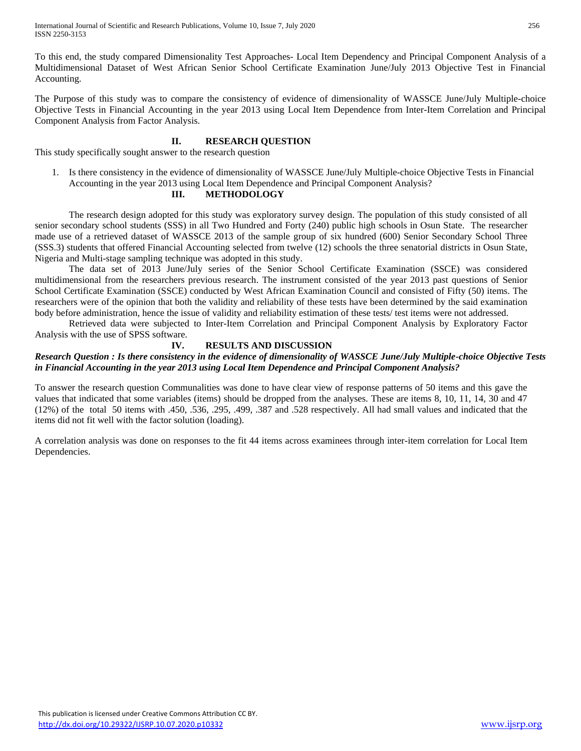To this end, the study compared Dimensionality Test Approaches- Local Item Dependency and Principal Component Analysis of a Multidimensional Dataset of West African Senior School Certificate Examination June/July 2013 Objective Test in Financial Accounting.

The Purpose of this study was to compare the consistency of evidence of dimensionality of WASSCE June/July Multiple-choice Objective Tests in Financial Accounting in the year 2013 using Local Item Dependence from Inter-Item Correlation and Principal Component Analysis from Factor Analysis.

# **II. RESEARCH QUESTION**

This study specifically sought answer to the research question

1. Is there consistency in the evidence of dimensionality of WASSCE June/July Multiple-choice Objective Tests in Financial Accounting in the year 2013 using Local Item Dependence and Principal Component Analysis?

### **III. METHODOLOGY**

The research design adopted for this study was exploratory survey design. The population of this study consisted of all senior secondary school students (SSS) in all Two Hundred and Forty (240) public high schools in Osun State. The researcher made use of a retrieved dataset of WASSCE 2013 of the sample group of six hundred (600) Senior Secondary School Three (SSS.3) students that offered Financial Accounting selected from twelve (12) schools the three senatorial districts in Osun State, Nigeria and Multi-stage sampling technique was adopted in this study.

The data set of 2013 June/July series of the Senior School Certificate Examination (SSCE) was considered multidimensional from the researchers previous research. The instrument consisted of the year 2013 past questions of Senior School Certificate Examination (SSCE) conducted by West African Examination Council and consisted of Fifty (50) items. The researchers were of the opinion that both the validity and reliability of these tests have been determined by the said examination body before administration, hence the issue of validity and reliability estimation of these tests/ test items were not addressed.

Retrieved data were subjected to Inter-Item Correlation and Principal Component Analysis by Exploratory Factor Analysis with the use of SPSS software.

### **IV. RESULTS AND DISCUSSION**

# *Research Question : Is there consistency in the evidence of dimensionality of WASSCE June/July Multiple-choice Objective Tests in Financial Accounting in the year 2013 using Local Item Dependence and Principal Component Analysis?*

To answer the research question Communalities was done to have clear view of response patterns of 50 items and this gave the values that indicated that some variables (items) should be dropped from the analyses. These are items 8, 10, 11, 14, 30 and 47 (12%) of the total 50 items with .450, .536, .295, .499, .387 and .528 respectively. All had small values and indicated that the items did not fit well with the factor solution (loading).

A correlation analysis was done on responses to the fit 44 items across examinees through inter-item correlation for Local Item Dependencies.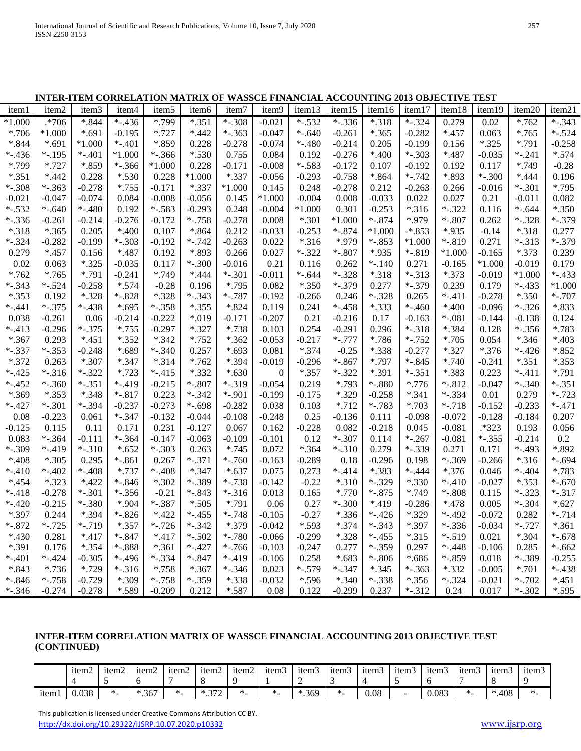# **INTER-ITEM CORRELATION MATRIX OF WASSCE FINANCIAL ACCOUNTING 2013 OBJECTIVE TEST**

| iteml    | item2      | item3      | item4     | item <sub>5</sub> | item <sub>6</sub> | item7    | item9            | item13   | item15   | item16   | item17    | item18   | item19    | item20   | item21   |
|----------|------------|------------|-----------|-------------------|-------------------|----------|------------------|----------|----------|----------|-----------|----------|-----------|----------|----------|
| $*1.000$ | .*706      | $*.844$    | $*.436$   | *.799             | $*.351$           | $*.308$  | $-0.021$         | $*.532$  | $*.336$  | $*.318$  | $*.324$   | 0.279    | 0.02      | $*.762$  | $-.343$  |
| $*.706$  | $*1.000$   | *.691      | $-0.195$  | $*.727$           | $*442$            | $*.363$  | $-0.047$         | $*.640$  | $-0.261$ | $*.365$  | $-0.282$  | $*457$   | 0.063     | $*.765$  | $*.524$  |
| $*.844$  | $*.691$    | $*1.000$   | $*.401$   | *.859             | 0.228             | $-0.278$ | $-0.074$         | $*.480$  | $-0.214$ | 0.205    | $-0.199$  | 0.156    | $*.325$   | *.791    | $-0.258$ |
| $*.436$  | $*.195$    | $*.401$    | $*1.000$  | $*.366$           | $*.530$           | 0.755    | 0.084            | 0.192    | $-0.276$ | $*400$   | $*.303$   | *.487    | $-0.035$  | $-.241$  | $*.574$  |
| *.799    | $*.727$    | *.859      | $*.366$   | $*1.000$          | 0.228             | $-0.171$ | $-0.008$         | $*.583$  | $-0.172$ | 0.107    | $-0.192$  | 0.192    | 0.117     | *.749    | $-0.28$  |
| $*.351$  | $*442$     | 0.228      | $*.530$   | 0.228             | $*1.000$          | $*.337$  | $-0.056$         | $-0.293$ | $-0.758$ | *.864    | $*.742$   | *.893    | $* - 300$ | $*444$   | 0.196    |
| $*.308$  | $*.363$    | $-0.278$   | $*.755$   | $-0.171$          | $*.337$           | $*1.000$ | 0.145            | 0.248    | $-0.278$ | 0.212    | $-0.263$  | 0.266    | $-0.016$  | $*.301$  | $*.795$  |
| $-0.021$ | $-0.047$   | $-0.074$   | 0.084     | $-0.008$          | $-0.056$          | 0.145    | $*1.000$         | $-0.004$ | 0.008    | $-0.033$ | 0.022     | 0.027    | 0.21      | $-0.011$ | 0.082    |
| $*.532$  | $*-.640$   | $*.480$    | 0.192     | $*.583$           | $-0.293$          | 0.248    | $-0.004$         | $*1.000$ | 0.301    | $-0.253$ | $*.316$   | $*.322$  | 0.116     | $*.644$  | $*.350$  |
| $*.336$  | -0.261     | $-0.214$   | $-0.276$  | $-0.172$          | $*.758$           | $-0.278$ | 0.008            | $*.301$  | $*1.000$ | $*.874$  | *.979     | $*-.807$ | 0.262     | *-.328   | $*.379$  |
| $*.318$  | $*365$     | 0.205      | $*400$    | 0.107             | $*864$            | 0.212    | $-0.033$         | $-0.253$ | $-.874$  | $*1.000$ | $-*.853$  | *.935    | $-0.14$   | $*.318$  | 0.277    |
| $*.324$  | $-0.282$   | $-0.199$   | $*.303$   | $-0.192$          | $*.742$           | $-0.263$ | 0.022            | $*.316$  | *.979    | $*.853$  | $*1.000$  | $*.819$  | 0.271     | $*.313$  | $*.379$  |
| 0.279    | $*.457$    | 0.156      | $*.487$   | 0.192             | *.893             | 0.266    | 0.027            | $-.322$  | $*-.807$ | *.935    | $*.819$   | $*1.000$ | $-0.165$  | $*.373$  | 0.239    |
| 0.02     | 0.063      | $*.325$    | $-0.035$  | 0.117             | $-.300$           | -0.016   | 0.21             | 0.116    | 0.262    | $*.140$  | 0.271     | $-0.165$ | $*1.000$  | -0.019   | 0.179    |
| $*.762$  | $*.765$    | *.791      | $-0.241$  | *.749             | $*444$            | $*.301$  | $-0.011$         | $*-.644$ | $*.328$  | $*.318$  | $*.313$   | $*.373$  | $-0.019$  | $*1.000$ | $*.433$  |
| $*.343$  | $*.524$    | $-0.258$   | $*.574$   | $-0.28$           | 0.196             | $*.795$  | 0.082            | $*.350$  | $*.379$  | 0.277    | $*.379$   | 0.239    | 0.179     | $*.433$  | $*1.000$ |
| $*.353$  | 0.192      | $*.328$    | $*.828$   | $*.328$           | $*.343$           | $*-.787$ | $-0.192$         | $-0.266$ | 0.246    | $*.328$  | 0.265     | $-.411$  | -0.278    | $*.350$  | $*-.707$ |
| $*.441$  | $*.375$    | $*.438$    | $*.695$   | $*.358$           | $*.355$           | $*.824$  | 0.119            | 0.241    | $*.458$  | *.333    | $* - 460$ | $*400$   | $-0.096$  | $*.326$  | *.833    |
| 0.038    | $-0.261$   | 0.06       | $-0.214$  | $-0.222$          | $*019$            | $-0.171$ | $-0.207$         | 0.21     | $-0.216$ | 0.17     | $-0.163$  | $*.081$  | $-0.144$  | $-0.138$ | 0.124    |
| $-.413$  | $-0.296$   | $*.375$    | $*.755$   | $-0.297$          | $*.327$           | $*.738$  | 0.103            | 0.254    | $-0.291$ | 0.296    | $*.318$   | $*.384$  | 0.128     | $*.356$  | *.783    |
| $*.367$  | 0.293      | $*.451$    | $*.352$   | $*.342$           | $*.752$           | $*.362$  | $-0.053$         | $-0.217$ | $*.777$  | *.786    | $*.752$   | $*.705$  | 0.054     | $*.346$  | $*403$   |
| $*.337$  | $*.353$    | $-0.248$   | *.689     | $*.340$           | 0.257             | $*.693$  | 0.081            | $*.374$  | $-0.25$  | *.338    | $-0.277$  | $*.327$  | $*.376$   | $-.426$  | $*.852$  |
| $*.372$  | 0.263      | *.307      | $*.347$   | $*.314$           | $*.762$           | *.394    | $-0.019$         | $-0.296$ | $*.867$  | *.797    | $*.845$   | $*.740$  | $-0.241$  | $*.351$  | $*.353$  |
| $*.425$  | $*.316$    | $-.322$    | $*.723$   | $*.415$           | $*.332$           | $*.630$  | $\boldsymbol{0}$ | $*.357$  | $-.322$  | *.391    | $*.351$   | *.383    | 0.223     | $-.411$  | *.791    |
| $*.452$  | $*.360$    | $*.351$    | $-.419$   | $-0.215$          | $*.807$           | $*.319$  | $-0.054$         | 0.219    | *.793    | $*.880$  | $*.776$   | $*.812$  | $-0.047$  | $-.340$  | $*.351$  |
| *.369    | $*.353$    | *.348      | $*.817$   | 0.223             | $*.342$           | $*.901$  | $-0.199$         | $-0.175$ | *.329    | $-0.258$ | $*.341$   | $*.334$  | 0.01      | 0.279    | $*.723$  |
| $*.427$  | $*.301$    | $*.394$    | $-0.237$  | $-0.273$          | $*.698$           | $-0.282$ | 0.038            | 0.103    | $*.712$  | $*.783$  | *.703     | $*.718$  | $-0.152$  | $-0.233$ | $-.471$  |
| 0.08     | $-0.223$   | 0.061      | $*.347$   | $-0.132$          | $-0.044$          | $-0.108$ | $-0.248$         | 0.25     | -0.136   | 0.111    | $-0.098$  | $-0.072$ | $-0.128$  | -0.184   | 0.207    |
| $-0.125$ | 0.115      | 0.11       | 0.171     | 0.231             | $-0.127$          | 0.067    | 0.162            | $-0.228$ | 0.082    | $-0.218$ | 0.045     | $-0.081$ | $.*323$   | 0.193    | 0.056    |
| 0.083    | $*.364$    | $-0.111$   | $*.364$   | $-0.147$          | $-0.063$          | $-0.109$ | $-0.101$         | 0.12     | $*.307$  | 0.114    | $*.267$   | $-0.081$ | $*.355$   | $-0.214$ | $0.2\,$  |
| $*.309$  | $*.419$    | $*.310$    | $*.652$   | $*.303$           | 0.263             | $*.745$  | 0.072            | $*.364$  | $*.310$  | 0.279    | $*.339$   | 0.271    | 0.171     | $*.493$  | *.892    |
| $*408$   | $*.305$    | 0.295      | $-.861$   | 0.267             | $-.371$           | $*.760$  | $-0.163$         | $-0.289$ | 0.18     | $-0.296$ | 0.198     | $*.369$  | $-0.266$  | $*.316$  | $*-.694$ |
| $-.410$  | $* - .402$ | $* - .408$ | $*.737$   | $*.408$           | $*.347$           | $*.637$  | 0.075            | 0.273    | $*.414$  | *.383    | $*.444$   | $*.376$  | 0.046     | $*.404$  | *.783    |
| $*454$   | $*.323$    | $*.422$    | $*.846$   | *.302             | $*.389$           | $*.738$  | $-0.142$         | $-0.22$  | $*.310$  | $*.329$  | *.330     | $-.410$  | $-0.027$  | $*.353$  | $*.670$  |
| $*.418$  | $-0.278$   | $*.301$    | $*.356$   | $-0.21$           | $*.843$           | $*.316$  | 0.013            | 0.165    | *.770    | $*.875$  | *.749     | $*.808$  | 0.115     | $*.323$  | $*.317$  |
| $*.420$  | $-0.215$   | $*.380$    | *.904     | $*.387$           | $*.505$           | *.791    | 0.06             | 0.27     | $-.300$  | *.419    | $-0.286$  | $*.478$  | 0.005     | $*.304$  | $*.627$  |
| *.397    | 0.244      | *.394      | $-.826$   | $*422$            | $*.455$           | $*.748$  | $-0.105$         | $-0.27$  | $*.336$  | $*.426$  | *.329     | $*.492$  | $-0.072$  | 0.282    | $-.714$  |
| $*.872$  | $*.725$    | $*.719$    | $*.357$   | $*.726$           | $*.342$           | *.379    | $-0.042$         | *.593    | $*.374$  | $*.343$  | *.397     | $*.336$  | $-0.034$  | $-.727$  | $*.361$  |
| $*430$   | 0.281      | $*.417$    | $*.847$   | $*417$            | $*.502$           | $*.780$  | $-0.066$         | $-0.299$ | $*.328$  | $*.455$  | $*.315$   | $*.519$  | 0.021     | $*.304$  | $*-.678$ |
| *.391    | 0.176      | *.354      | $* - 888$ | $*$ .361          | $*.427$           | $*.766$  | $-0.103$         | $-0.247$ | 0.277    | $*.359$  | 0.297     | $*.448$  | $-0.106$  | 0.285    | $-.662$  |
| $*.401$  | $*.424$    | $-0.305$   | $*.496$   | $*.334$           | $*.847$           | $*.419$  | $-0.106$         | 0.258    | $*.683$  | $*.806$  | $*686$    | $*.859$  | 0.018     | $*.389$  | $-0.255$ |
| $*.843$  | $*.736$    | $*.729$    | $*.316$   | $*.758$           | $*367$            | $*.346$  | 0.023            | $*.579$  | *-.347   | $*.345$  | $-.363$   | $*332$   | $-0.005$  | $*.701$  | $*.438$  |
| $*.846$  | $*.758$    | $-0.729$   | *.309     | $*.758$           | $*.359$           | *.338    | $-0.032$         | *.596    | $*.340$  | $*.338$  | $*.356$   | $*.324$  | $-0.021$  | $*.702$  | $*.451$  |
| $*.346$  | $-0.274$   | $-0.278$   | *.589     | $-0.209$          | 0.212             | $*.587$  | 0.08             | 0.122    | $-0.299$ | 0.237    | $*.312$   | 0.24     | 0.017     | $*.302$  | *.595    |

# **INTER-ITEM CORRELATION MATRIX OF WASSCE FINANCIAL ACCOUNTING 2013 OBJECTIVE TEST (CONTINUED)**

|        | 1tem <sup>2</sup> | 1tem2 | item2   | item2            | $\sim$<br>item <sup>2</sup> | item2                    | item3        | $\sim$<br>1tem <sub>3</sub><br>- | item <sub>3</sub>  | item3 | $\sim$<br>1tem <sub>3</sub> | $\sim$<br>item <sub>3</sub> | item <sub>3</sub> | 1tem <sub>3</sub> | tem.   |
|--------|-------------------|-------|---------|------------------|-----------------------------|--------------------------|--------------|----------------------------------|--------------------|-------|-----------------------------|-----------------------------|-------------------|-------------------|--------|
| 1tem l | 020<br>u.ubo      |       | $*.367$ | $\sim$<br>$\sim$ | $\sim$ $\sim$<br>ste.       | $\overline{\phantom{a}}$ | $\mathbf{a}$ | $*369$                           | -14<br>$\sim$<br>- | 0.08  | -                           | 0.083                       |                   | .408<br>ste i     | $\ast$ |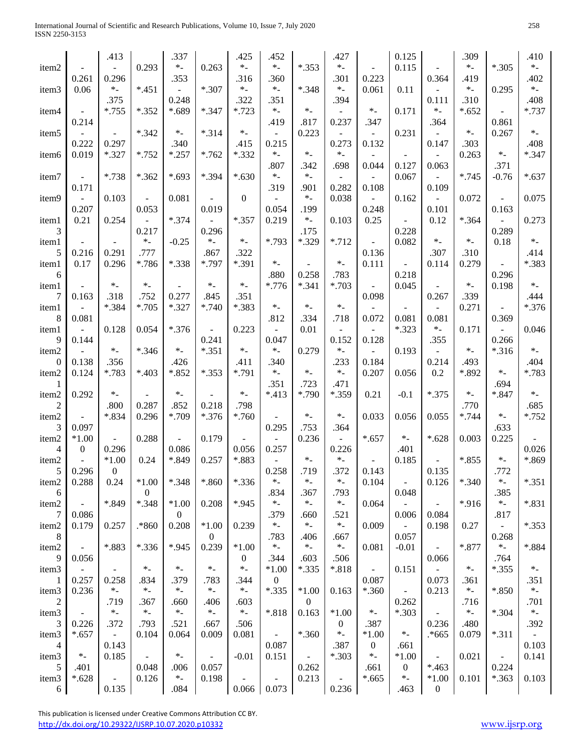International Journal of Scientific and Research Publications, Volume 10, Issue 7, July 2020 258 ISSN 2250-3153

|                        |                          | .413                         |                  | .337           |                          | .425             | .452              |                  | .427                         |                          | 0.125                             |                                   | .309     |                              | .410        |
|------------------------|--------------------------|------------------------------|------------------|----------------|--------------------------|------------------|-------------------|------------------|------------------------------|--------------------------|-----------------------------------|-----------------------------------|----------|------------------------------|-------------|
| item <sub>2</sub>      |                          |                              | 0.293            | $*$            | 0.263                    | $\ast_-$         | $\ast$ .          | $*.353$          | $\ast$                       |                          | 0.115                             |                                   | $\ast$ . | $*.305$                      | $\ast_-$    |
|                        | 0.261                    | 0.296                        |                  | .353           |                          | .316             | .360              |                  | .301                         | 0.223                    |                                   | 0.364                             | .419     |                              | .402        |
| item <sub>3</sub>      | 0.06                     | $\ast$ .                     | $*.451$          |                | $*.307$                  | $\ast$ .         | $\ast$ .          | $*.348$          | $*$                          | 0.061                    | 0.11                              |                                   | $\ast$ . | 0.295                        | $*$         |
|                        |                          | .375                         |                  | 0.248          |                          | .322             | .351              |                  | .394                         |                          |                                   | 0.111                             | .310     |                              | .408        |
| item4                  | $\overline{\phantom{a}}$ | $*.755$                      | $*.352$          | *.689          | $*.347$                  | $*.723$          | $*$               | $\ast$ .         |                              | $\ast$ .                 | 0.171                             | $*$                               | $*.652$  | $\overline{a}$               | $*.737$     |
|                        | 0.214                    |                              |                  |                |                          |                  | .419              | .817             | 0.237                        | .347                     |                                   | .364                              |          | 0.861                        |             |
| item <sub>5</sub>      |                          |                              | $*.342$          | $*$            | $*.314$                  | $\ast$ .         |                   | 0.223            |                              | $\sim$                   | 0.231                             | $\sim$                            | $*$      | 0.267                        | $\ast$ $\_$ |
|                        | 0.222                    | 0.297                        |                  | .340           |                          | .415             | 0.215             |                  | 0.273                        | 0.132                    |                                   | 0.147                             | .303     |                              | .408        |
| item <sub>6</sub>      | 0.019                    | $*.327$                      | $*.752$          | $*.257$        | $*.762$                  | $*.332$          | $\ast$ .<br>.807  | $\ast$ .         | $*$                          |                          |                                   |                                   | 0.263    | $\ast$ .                     | $*.347$     |
|                        | $\equiv$                 | *.738                        | $*362$           | $*.693$        | *.394                    | $*.630$          | $\ast$ .          | .342<br>$\ast$ . | .698                         | 0.044                    | 0.127<br>0.067                    | 0.063<br>$\overline{\phantom{a}}$ | $*.745$  | .371<br>$-0.76$              | $*.637$     |
| item7                  | 0.171                    |                              |                  |                |                          |                  | .319              | .901             | 0.282                        | 0.108                    |                                   | 0.109                             |          |                              |             |
| item9                  |                          | 0.103                        | $\omega_{\rm c}$ | 0.081          | $\overline{\phantom{a}}$ | $\boldsymbol{0}$ |                   | $\ast$ .         | 0.038                        | $\sim$                   | 0.162                             | $\overline{\phantom{a}}$          | 0.072    | $\overline{\phantom{a}}$     | 0.075       |
|                        | 0.207                    |                              | 0.053            |                | 0.019                    |                  | 0.054             | .199             |                              | 0.248                    |                                   | 0.101                             |          | 0.163                        |             |
| item1                  | 0.21                     | 0.254                        | $\frac{1}{2}$    | $*.374$        | $\omega_{\rm c}$         | $*.357$          | 0.219             | $\ast$ .         | 0.103                        | 0.25                     | $\equiv$                          | 0.12                              | $*364$   | $\Box$                       | 0.273       |
| 3                      |                          |                              | 0.217            |                | 0.296                    |                  |                   | .175             |                              |                          | 0.228                             |                                   |          | 0.289                        |             |
| item1                  | $\blacksquare$           |                              | $\ast$ .         | $-0.25$        | $\ast_-$                 | $\ast_-$         | *.793             | *.329            | $*.712$                      |                          | 0.082                             | $\ast$ .                          | $\ast$ . | 0.18                         | $\ast$ $\_$ |
| 5                      | 0.216                    | 0.291                        | .777             |                | .867                     | .322             |                   |                  |                              | 0.136                    |                                   | .307                              | .310     |                              | .414        |
| item1                  | 0.17                     | 0.296                        | *.786            | *.338          | *.797                    | *.391            | $\ast$ .          |                  | $\ast_-$                     | 0.111                    |                                   | 0.114                             | 0.279    | $\Box$                       | *.383       |
| 6                      |                          |                              |                  |                |                          |                  | .880              | 0.258            | .783                         |                          | 0.218                             |                                   |          | 0.296                        |             |
| item1                  |                          | $\ast$ .                     | $*$ .            |                | $\ast$ .                 | $\ast_-$         | *.776             | $*.341$          | $*.703$                      | $\blacksquare$           | 0.045                             |                                   | $\ast$ . | 0.198                        | $\ast$ $\_$ |
| 7                      | 0.163                    | .318                         | .752             | 0.277          | .845                     | .351             |                   |                  |                              | 0.098                    |                                   | 0.267                             | .339     |                              | .444        |
| item1                  |                          | *.384                        | $*.705$          | $*.327$        | $*.740$                  | *.383            | $\ast$ .          | $*$ .            | $\ast$ .                     |                          |                                   |                                   | 0.271    | $\bar{\phantom{a}}$          | $*.376$     |
| 8                      | 0.081                    | 0.128                        | 0.054            | $*.376$        | $\blacksquare$           | 0.223            | .812              | .334<br>0.01     | .718                         | 0.072<br>$\mathbf{r}$    | 0.081<br>$*.323$                  | 0.081<br>$\ast$ .                 | 0.171    | 0.369<br>$\bar{\phantom{a}}$ | 0.046       |
| item1<br>9             | 0.144                    |                              |                  |                | 0.241                    |                  | 0.047             |                  | 0.152                        | 0.128                    |                                   | .355                              |          | 0.266                        |             |
| item2                  |                          | $\ast$ .                     | $*.346$          | $\ast$ .       | $*.351$                  | $\ast_-$         | $*$               | 0.279            | $\ast$ .                     |                          | 0.193                             | $\equiv$                          | $\ast$ . | $*.316$                      | $\ast_-$    |
| 0                      | 0.138                    | .356                         |                  | .426           |                          | .411             | .340              |                  | .233                         | 0.184                    |                                   | 0.214                             | .493     |                              | .404        |
| item2                  | 0.124                    | *.783                        | $*403$           | *.852          | $*.353$                  | *.791            | $\ast$ .          | $\ast$ .         | $*$                          | 0.207                    | 0.056                             | 0.2                               | *.892    | $*$                          | *.783       |
|                        |                          |                              |                  |                |                          |                  | .351              | .723             | .471                         |                          |                                   |                                   |          | .694                         |             |
| item2                  | 0.292                    | $\ast$ .                     |                  | $\ast$ .       |                          | $\ast_-$         | $*413$            | *.790            | *.359                        | 0.21                     | $-0.1$                            | $*.375$                           | $\ast$ . | *.847                        | $\ast_-$    |
| $\overline{c}$         |                          | .800                         | 0.287            | .852           | 0.218                    | .798             |                   |                  |                              |                          |                                   |                                   | .770     |                              | .685        |
| item2                  | $\blacksquare$           | *.834                        | 0.296            | *.709          | $*.376$                  | $*.760$          |                   | $\ast$ .         | $\ast$ .                     | 0.033                    | 0.056                             | 0.055                             | $*.744$  | $\ast$ .                     | $*.752$     |
| 3                      | 0.097                    |                              |                  |                |                          |                  | 0.295             | .753             | .364                         |                          |                                   |                                   |          | .633                         |             |
| item2                  | $*1.00$                  |                              | 0.288            |                | 0.179                    |                  |                   | 0.236            |                              | $*.657$                  | $\ast_-$                          | $*.628$                           | 0.003    | 0.225                        |             |
| 4                      | $\overline{0}$           | 0.296                        |                  | 0.086          |                          | 0.056            | 0.257             |                  | 0.226                        |                          | .401                              |                                   |          |                              | 0.026       |
| item <sub>2</sub>      | $\mathbb{L}$             | $*1.00$                      | 0.24             | *.849          | 0.257                    | *.883            | $\Box$            | $\ast$ .         | $\ast_-$                     | $\mathbb{L}$             | 0.185                             | $\omega_{\rm c}$                  | $*855$   | $\ast$ $\_$                  | *.869       |
|                        | 5 0.296<br>0.288         | $\overline{0}$<br>0.24       | $*1.00$          | *.348          | *.860                    | $*.336$          | 0.258<br>$\ast$ . | .719<br>$\ast$ . | .372<br>$*$                  | 0.143                    |                                   | 0.135                             | *.340    | .772<br>$\ast$ .             | $*.351$     |
| item <sub>2</sub><br>6 |                          |                              | $\overline{0}$   |                |                          |                  | .834              | .367             | .793                         | 0.104                    | $\overline{\phantom{a}}$<br>0.048 | 0.126                             |          | .385                         |             |
| item2                  | $\sim$                   | *.849                        | $*.348$          | $*1.00$        | 0.208                    | *.945            | $\ast$ .          | $\ast$ .         | $*$                          | 0.064                    |                                   | $\blacksquare$                    | *.916    | $\ast$ .                     | $*.831$     |
| 7                      | 0.086                    |                              |                  | $\overline{0}$ |                          |                  | .379              | .660             | .521                         |                          | 0.006                             | 0.084                             |          | .817                         |             |
| item2                  | 0.179                    | 0.257                        | .*860            | 0.208          | $*1.00$                  | 0.239            | $\ast$ .          | $\ast_-$         | $*$                          | 0.009                    | $\mathcal{L}^{\mathcal{A}}$       | 0.198                             | 0.27     | $\Box$                       | $*.353$     |
| 8                      |                          |                              |                  |                | $\overline{0}$           |                  | .783              | .406             | .667                         |                          | 0.057                             |                                   |          | 0.268                        |             |
| item2                  | ÷                        | *.883                        | $*.336$          | *.945          | 0.239                    | $*1.00$          | $\ast_-$          | $\ast$ .         | $*$                          | 0.081                    | $-0.01$                           | $\blacksquare$                    | $*.877$  | $\ast$ .                     | $*.884$     |
| 9                      | 0.056                    |                              |                  |                |                          | $\overline{0}$   | .344              | .603             | .506                         |                          |                                   | 0.066                             |          | .764                         |             |
| item3                  | $\blacksquare$           | $\sim$                       | $\ast_-$         | $\ast$ .       | $*$                      | $\ast$ .         | $*1.00$           | $*335$           | $*.818$                      | $\overline{\phantom{a}}$ | 0.151                             | $\omega$                          | $\ast_-$ | $*.355$                      | $*$         |
| 1                      | 0.257                    | 0.258                        | .834             | .379           | .783                     | .344             | $\mathbf{0}$      |                  |                              | 0.087                    |                                   | 0.073                             | .361     |                              | .351        |
| item <sub>3</sub>      | 0.236                    | $*$                          | $\ast$ .         | $*$            | $*$                      | $\ast$ _         | $*.335$           | $*1.00$          | 0.163                        | $*.360$                  | $\omega$                          | 0.213                             | $*$      | *.850                        | $\ast_-$    |
| $\overline{c}$         |                          | .719                         | .367             | .660           | .406                     | .603             |                   | $\overline{0}$   |                              |                          | 0.262                             |                                   | .716     |                              | .701        |
| item <sub>3</sub>      | $\sim$                   | $*$                          | $\ast$ .         | $\ast$ $\_$    | $\ast_-$                 | $\ast_-$         | *.818             | 0.163            | $*1.00$                      | $\ast$ _                 | $*.303$                           | $\omega_{\rm c}$                  | $*$      | $*.304$                      | $\ast_-$    |
| 3                      | 0.226                    | .372                         | .793             | .521           | .667                     | .506             |                   |                  | $\boldsymbol{0}$<br>$\ast$ _ | .387                     |                                   | 0.236                             | .480     |                              | .392        |
| item <sub>3</sub><br>4 | $*.657$                  | $\omega_{\rm{eff}}$<br>0.143 | 0.104            | 0.064          | 0.009                    | 0.081            | 0.087             | $*360$           | .387                         | $*1.00$<br>$\mathbf{0}$  | $\ast$ $\_$<br>.661               | .*665                             | 0.079    | $*.311$                      | 0.103       |
| item3                  | $\ast$ .                 | 0.185                        |                  | $\ast_-$       |                          | $-0.01$          | 0.151             | $\sim$           | $*.303$                      | $\ast$ .                 | $*1.00$                           | $\blacksquare$                    | 0.021    | $\overline{\phantom{a}}$     | 0.141       |
| 5                      | .401                     |                              | 0.048            | .006           | 0.057                    |                  |                   | 0.262            |                              | .661                     | $\boldsymbol{0}$                  | $*463$                            |          | 0.224                        |             |
| item <sub>3</sub>      | $*.628$                  | $\blacksquare$               | 0.126            | $\ast_-$       | 0.198                    |                  |                   | 0.213            | ۳                            | $*.665$                  | $\ast$ .                          | $*1.00$                           | 0.101    | $*.363$                      | 0.103       |
| 6                      |                          | 0.135                        |                  | .084           |                          | 0.066            | 0.073             |                  | 0.236                        |                          | .463                              | $\boldsymbol{0}$                  |          |                              |             |

 This publication is licensed under Creative Commons Attribution CC BY. <http://dx.doi.org/10.29322/IJSRP.10.07.2020.p10332> [www.ijsrp.org](http://ijsrp.org/)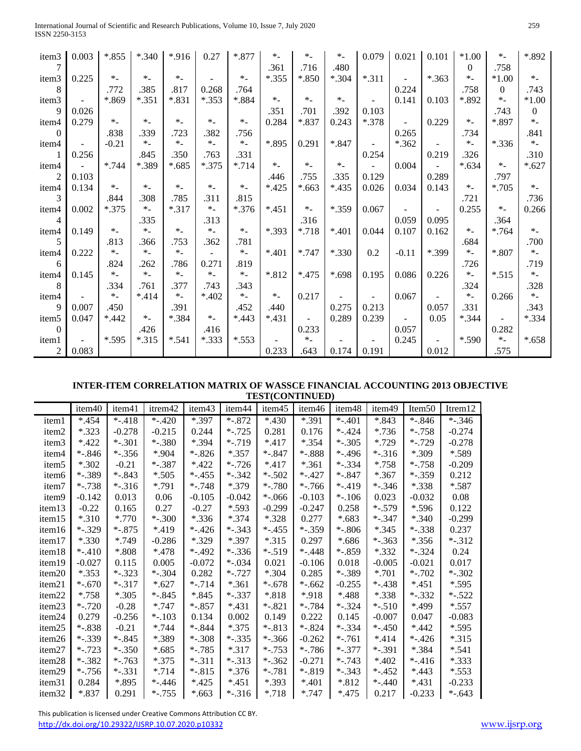| International Journal of Scientific and Research Publications, Volume 10, Issue 7, July 2020 | 259 |
|----------------------------------------------------------------------------------------------|-----|
| ISSN 2250-3153                                                                               |     |

| item3             | 0.003      | $*.855$  | $*.340$  | *.916    | 0.27     | $*.877$ | $\ast$ . | $\ast$ .                 | $\ast$ . | 0.079   | 0.021   | 0.101          | $*1.00$  | $\ast$ .                 | *.892    |
|-------------------|------------|----------|----------|----------|----------|---------|----------|--------------------------|----------|---------|---------|----------------|----------|--------------------------|----------|
|                   |            |          |          |          |          |         | .361     | .716                     | .480     |         |         |                | $\theta$ | .758                     |          |
| item3             | 0.225      | $*$      | $*$      | $*$      |          | $*$     | $*.355$  | $*.850$                  | $*.304$  | $*.311$ |         | $*.363$        | $*$      | $*1.00$                  | $\ast_-$ |
| 8                 |            | .772     | .385     | .817     | 0.268    | .764    |          |                          |          |         | 0.224   |                | .758     | $\overline{0}$           | .743     |
| item3             |            | *.869    | $*351$   | *.831    | $*.353$  | *.884   | $*$      | $*$                      | $*$      |         | 0.141   | 0.103          | *.892    | $\ast$ .                 | $*1.00$  |
| 9                 | 0.026      |          |          |          |          |         | .351     | .701                     | .392     | 0.103   |         |                |          | .743                     | $\theta$ |
| item4             | 0.279      | $\ast$ . | $\ast$ . | $*$      | $\ast$ . | $*$     | 0.284    | *.837                    | 0.243    | $*.378$ |         | 0.229          | $*$      | *.897                    | $*$      |
| $\theta$          |            | .838     | .339     | .723     | .382     | .756    |          |                          |          |         | 0.265   |                | .734     |                          | .841     |
| item4             |            | $-0.21$  | $*$      | $\ast$ . | $\ast$   | $*$     | *.895    | 0.291                    | *.847    |         | $*362$  |                | $\ast$ . | $*.336$                  | $*$      |
|                   | 0.256      |          | .845     | .350     | .763     | .331    |          |                          |          | 0.254   |         | 0.219          | .326     |                          | .310     |
| item4             | $\sim$ $-$ | $*.744$  | *.389    | $*.685$  | $*.375$  | $*.714$ | $*$      | $*$                      | $*$      | $\sim$  | 0.004   |                | $*.634$  | $\ast$ .                 | $*.627$  |
| $\overline{2}$    | 0.103      |          |          |          |          |         | .446     | .755                     | .335     | 0.129   |         | 0.289          |          | .797                     |          |
| item4             | 0.134      | $\ast$ . | $\ast_-$ | $*$      | $*$ .    | $*$     | $*425$   | $*.663$                  | $*435$   | 0.026   | 0.034   | 0.143          | $*$      | $*.705$                  | $*$      |
| 3                 |            | .844     | .308     | .785     | .311     | .815    |          |                          |          |         |         |                | .721     |                          | .736     |
| item4             | 0.002      | $*.375$  | $\ast$ . | $*.317$  | $\ast$ . | $*376$  | $*451$   | $*$                      | *.359    | 0.067   |         | $\blacksquare$ | 0.255    | $*$                      | 0.266    |
| 4                 |            |          | .335     |          | .313     |         |          | .316                     |          |         | 0.059   | 0.095          |          | .364                     |          |
| item4             | 0.149      | $\ast$ . | $\ast_-$ | $*$      | $\ast$ . | $*$     | *.393    | $*.718$                  | $*401$   | 0.044   | 0.107   | 0.162          | $\ast$ . | $*.764$                  | $\ast$ . |
| 5                 |            | .813     | .366     | .753     | .362     | .781    |          |                          |          |         |         |                | .684     |                          | .700     |
| item4             | 0.222      | $\ast$ . | $*$      | $*$      |          | $*$     | $*401$   | $*.747$                  | *.330    | 0.2     | $-0.11$ | *.399          | $\ast$ . | *.807                    | $*$      |
| 6                 |            | .824     | .262     | .786     | 0.271    | .819    |          |                          |          |         |         |                | .726     |                          | .719     |
| item4             | 0.145      | $*$      | $*$      | $*$      | $*$      | $*$     | *.812    | $*475$                   | $*.698$  | 0.195   | 0.086   | 0.226          | $\ast_-$ | $*.515$                  | $\ast$ . |
| 8                 |            | .334     | .761     | .377     | .743     | .343    |          |                          |          |         |         |                | .324     |                          | .328     |
| item4             |            | $\ast$ . | $*414$   | $*$      | $*402$   | $*$     | $*$      | 0.217                    |          |         | 0.067   |                | $*$      | 0.266                    | $\ast$ . |
| $\mathbf{Q}$      | 0.007      | .450     |          | .391     |          | .452    | .440     |                          | 0.275    | 0.213   |         | 0.057          | .331     |                          | .343     |
| item <sub>5</sub> | 0.047      | $*442$   | $*$      | *.384    | $\ast$ . | $*443$  | $*431$   | $\overline{\phantom{a}}$ | 0.289    | 0.239   |         | 0.05           | $*.344$  | $\overline{\phantom{a}}$ | $*.334$  |
| $\Omega$          |            |          | .426     |          | .416     |         |          | 0.233                    |          |         | 0.057   |                |          | 0.282                    |          |
| item1             |            | *.595    | $*315$   | $*.541$  | $*.333$  | $*.553$ |          | $\ast$ .                 |          |         | 0.245   |                | *.590    | $*$                      | $*.658$  |
| $\overline{2}$    | 0.083      |          |          |          |          |         | 0.233    | .643                     | 0.174    | 0.191   |         | 0.012          |          | .575                     |          |

### **INTER-ITEM CORRELATION MATRIX OF WASSCE FINANCIAL ACCOUNTING 2013 OBJECTIVE TEST(CONTINUED)**

|                    | item40   | item41   | itrem <sub>42</sub> | item43   | item <sub>44</sub> | item45    | item46   | item <sub>48</sub> | item49    | Item <sub>50</sub> | Itrem <sub>12</sub> |
|--------------------|----------|----------|---------------------|----------|--------------------|-----------|----------|--------------------|-----------|--------------------|---------------------|
| item1              | $*454$   | $*.418$  | $-.420$             | *.397    | $*.872$            | $*430$    | $*391$   | $-.401$            | $*843$    | $*.846$            | $*.346$             |
| item2              | $*323$   | $-0.278$ | $-0.215$            | 0.244    | $*.725$            | 0.281     | 0.176    | $-.424$            | $*.736$   | $*.758$            | $-0.274$            |
| item3              | $*422$   | $*.301$  | $*.380$             | $*394$   | $*.719$            | $*417$    | $*.354$  | $*.305$            | $*$ .729  | $*.729$            | $-0.278$            |
| item4              | $*.846$  | $*.356$  | $*904$              | $*.826$  | $*357$             | $*.847$   | $*.888$  | $*.496$            | $*.316$   | *.309              | *.589               |
| item <sub>5</sub>  | $*$ .302 | $-0.21$  | $*.387$             | $*422$   | $*.726$            | $*417$    | $*361$   | $*.334$            | $*.758$   | $*.758$            | $-0.209$            |
| item <sub>6</sub>  | $*.389$  | $*.843$  | $*$ .505            | $*.455$  | $-.342$            | $* - 502$ | $*.427$  | $*.847$            | $*367$    | $*.359$            | 0.212               |
| item7              | $*.738$  | $*.316$  | $*$ .791            | $*.748$  | *.379              | $*.780$   | $*.766$  | $*.419$            | $*.346$   | $*338$             | $*.587$             |
| item9              | $-0.142$ | 0.013    | 0.06                | $-0.105$ | $-0.042$           | $* -066$  | $-0.103$ | $* - 106$          | 0.023     | $-0.032$           | 0.08                |
| item13             | $-0.22$  | 0.165    | 0.27                | $-0.27$  | $*.593$            | $-0.299$  | $-0.247$ | 0.258              | $*.579$   | $*$ .596           | 0.122               |
| item15             | $*310$   | *.770    | $*.300$             | $*336$   | $*374$             | $*328$    | 0.277    | $*.683$            | $*.347$   | $*340$             | $-0.299$            |
| item16             | $*.329$  | $*.875$  | $*419$              | $-.426$  | $*.343$            | $*.455$   | $*.359$  | $*.806$            | $*345$    | $*.338$            | 0.237               |
| item17             | $*330$   | $*$ .749 | $-0.286$            | *.329    | $*397$             | $*315$    | 0.297    | $*686$             | $*.363$   | $*356$             | $*.312$             |
| item18             | $-.410$  | *.808    | $*478$              | $*.492$  | $*.336$            | $*.519$   | $*.448$  | $*.859$            | $*332$    | $*.324$            | 0.24                |
| item19             | $-0.027$ | 0.115    | 0.005               | $-0.072$ | $*.034$            | 0.021     | $-0.106$ | 0.018              | $-0.005$  | $-0.021$           | 0.017               |
| item20             | $*353$   | $*.323$  | $*.304$             | 0.282    | $*.727$            | $*$ .304  | 0.285    | $*.389$            | $*701$    | $*$ -.702          | $*.302$             |
| item21             | $*.670$  | $*.317$  | $*.627$             | $*.714$  | $*361$             | $*.678$   | $*-.662$ | $-0.255$           | $*.438$   | $*451$             | $*$ .595            |
| item22             | $*.758$  | $*$ .305 | $*.845$             | $*.845$  | $*.337$            | *.818     | *.918    | $*488$             | $*$ .338  | $*.332$            | $*.522$             |
| item <sub>23</sub> | $*.720$  | $-0.28$  | $*.747$             | $*.857$  | $*431$             | $-.821$   | $*.784$  | $*.324$            | $*.510$   | *.499              | $*.557$             |
| item <sub>24</sub> | 0.279    | $-0.256$ | $*$ -.103           | 0.134    | 0.002              | 0.149     | 0.222    | 0.145              | $-0.007$  | 0.047              | $-0.083$            |
| item25             | $*.838$  | $-0.21$  | $* .744$            | $*.844$  | $*375$             | $*.813$   | $*.824$  | $*.334$            | $*.450$   | $*442$             | $*.595$             |
| item26             | $*.339$  | $*.845$  | *.389               | $*.308$  | $*.335$            | $*.366$   | $-0.262$ | $*.761$            | $*414$    | $*.426$            | $*315$              |
| item27             | $*.723$  | $*.350$  | $*685$              | $*.785$  | $*317$             | $*.753$   | $*.786$  | $*.377$            | $*.391$   | $*384$             | $*.541$             |
| item <sub>28</sub> | $*.382$  | $*.763$  | $*375$              | $*.311$  | $*.313$            | $*.362$   | $-0.271$ | $*.743$            | $*402$    | $*.416$            | $*333$              |
| item29             | $*.756$  | $*.331$  | $*714$              | $*.815$  | $*376$             | $*.781$   | $*.819$  | $-.343$            | $* - 452$ | $*443$             | $*$ .553            |
| item31             | 0.284    | $*895$   | $*.446$             | $*425$   | $*451$             | $*$ .393  | $*401$   | *.812              | $-.440$   | $*431$             | $-0.233$            |
| item <sub>32</sub> | *.837    | 0.291    | $*.755$             | $*.663$  | $*.316$            | $*.718$   | $*.747$  | $*475$             | 0.217     | $-0.233$           | $*.643$             |

This publication is licensed under Creative Commons Attribution CC BY.

<http://dx.doi.org/10.29322/IJSRP.10.07.2020.p10332> [www.ijsrp.org](http://ijsrp.org/)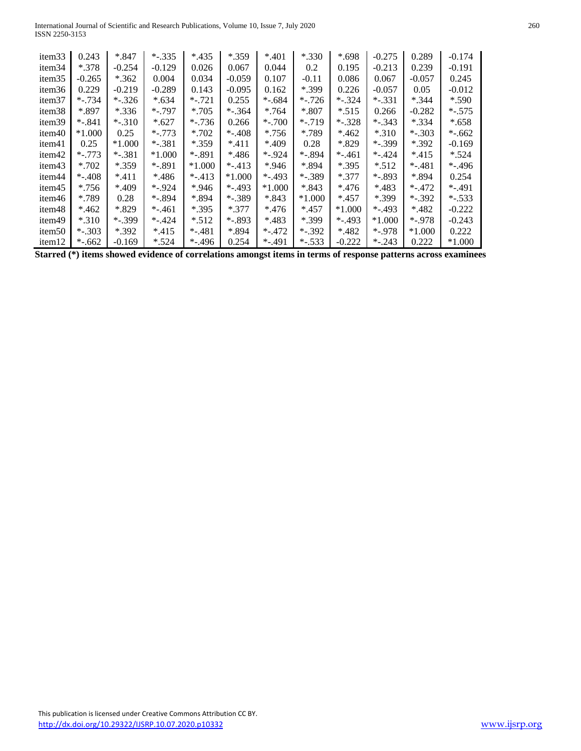International Journal of Scientific and Research Publications, Volume 10, Issue 7, July 2020 260 ISSN 2250-3153

| item <sub>33</sub> | 0.243    | $*847$    | $*.335$  | $*435$   | *.359    | $*401$    | *.330     | $*.698$  | $-0.275$ | 0.289    | $-0.174$  |
|--------------------|----------|-----------|----------|----------|----------|-----------|-----------|----------|----------|----------|-----------|
| item <sub>34</sub> | $*378$   | $-0.254$  | $-0.129$ | 0.026    | 0.067    | 0.044     | 0.2       | 0.195    | $-0.213$ | 0.239    | $-0.191$  |
| item <sub>35</sub> | $-0.265$ | $*362$    | 0.004    | 0.034    | $-0.059$ | 0.107     | $-0.11$   | 0.086    | 0.067    | $-0.057$ | 0.245     |
| item <sub>36</sub> | 0.229    | $-0.219$  | $-0.289$ | 0.143    | $-0.095$ | 0.162     | *.399     | 0.226    | $-0.057$ | 0.05     | $-0.012$  |
| item <sub>37</sub> | $*.734$  | $-.326$   | $*.634$  | $*.721$  | 0.255    | $*.684$   | $*.726$   | $*.324$  | $*.331$  | $*344$   | $*$ .590  |
| item <sub>38</sub> | *.897    | $*336$    | $*.797$  | $*.705$  | $*.364$  | $*764$    | $*807$    | $*$ .515 | 0.266    | $-0.282$ | $*$ -.575 |
| item <sub>39</sub> | $*.841$  | $*.310$   | $*.627$  | $*.736$  | 0.266    | $*$ -.700 | $*.719$   | $*.328$  | $*.343$  | $*$ .334 | $*.658$   |
| item40             | $*1.000$ | 0.25      | $*.773$  | $*.702$  | $-.408$  | $*.756$   | *.789     | $*462$   | $*310$   | $*.303$  | $*$ -.662 |
| item41             | 0.25     | $*1.000$  | $*.381$  | $*359$   | $*411$   | *.409     | 0.28      | *.829    | $*.399$  | $*392$   | $-0.169$  |
| item <sub>42</sub> | $*.773$  | $*$ -.381 | $*1.000$ | $*.891$  | $*486$   | $*.924$   | $*.894$   | *-.461   | $*.424$  | $*415$   | $*$ .524  |
| item43             | $*.702$  | $*359$    | $*.891$  | $*1.000$ | $-.413$  | $*946$    | *.894     | $*$ .395 | $*$ .512 | $-.481$  | $*.496$   |
| item <sub>44</sub> | $-.408$  | $*411$    | $*486$   | $-.413$  | $*1.000$ | $*.493$   | $*.389$   | $*377$   | $*.893$  | *.894    | 0.254     |
| item45             | $*.756$  | *.409     | $*.924$  | $*946$   | $*.493$  | $*1.000$  | $*843$    | $*476$   | *.483    | $*.472$  | $*.491$   |
| item46             | *.789    | 0.28      | $*.894$  | $*894$   | $*.389$  | $*843$    | *1.000    | $*457$   | *.399    | $*.392$  | $*$ -.533 |
| item <sub>48</sub> | $*462$   | *.829     | $-.461$  | $*$ .395 | $*377$   | $*476$    | $*457$    | $*1.000$ | $*.493$  | $*482$   | $-0.222$  |
| item49             | $*.310$  | $*.399$   | $-.424$  | $*$ .512 | $*.893$  | $*483$    | *.399     | $-.493$  | $*1.000$ | $*.978$  | $-0.243$  |
| item <sub>50</sub> | $-.303$  | $*392$    | $*415$   | $-.481$  | *.894    | $*.472$   | $*.392$   | *.482    | $*.978$  | $*1.000$ | 0.222     |
| item <sub>12</sub> | $*.662$  | $-0.169$  | $*$ .524 | $-.496$  | 0.254    | $*.491$   | $*$ -.533 | $-0.222$ | $-.243$  | 0.222    | $*1.000$  |

**Starred (\*) items showed evidence of correlations amongst items in terms of response patterns across examinees**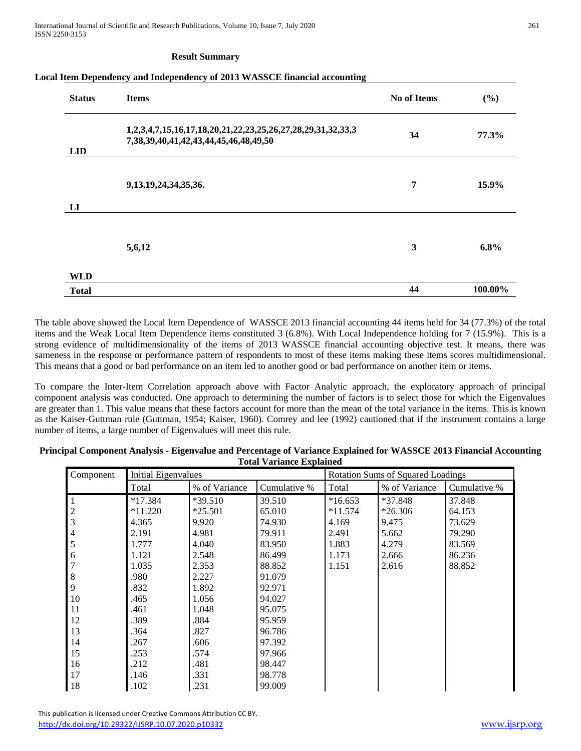International Journal of Scientific and Research Publications, Volume 10, Issue 7, July 2020 261 ISSN 2250-3153

#### **Result Summary**

#### **Local Item Dependency and Independency of 2013 WASSCE financial accounting**

| <b>Status</b> | <b>Items</b>                                                                                                     | <b>No of Items</b> | (%)     |
|---------------|------------------------------------------------------------------------------------------------------------------|--------------------|---------|
| <b>LID</b>    | 1,2,3,4,7,15,16,17,18,20,21,22,23,25,26,27,28,29,31,32,33,3<br>7, 38, 39, 40, 41, 42, 43, 44, 45, 46, 48, 49, 50 | 34                 | 77.3%   |
| LI            | 9, 13, 19, 24, 34, 35, 36.                                                                                       | 7                  | 15.9%   |
|               | 5,6,12                                                                                                           | 3                  | 6.8%    |
| <b>WLD</b>    |                                                                                                                  |                    |         |
| <b>Total</b>  |                                                                                                                  | 44                 | 100.00% |

The table above showed the Local Item Dependence of WASSCE 2013 financial accounting 44 items held for 34 (77.3%) of the total items and the Weak Local Item Dependence items constituted 3 (6.8%). With Local Independence holding for 7 (15.9%). This is a strong evidence of multidimensionality of the items of 2013 WASSCE financial accounting objective test. It means, there was sameness in the response or performance pattern of respondents to most of these items making these items scores multidimensional. This means that a good or bad performance on an item led to another good or bad performance on another item or items.

To compare the Inter-Item Correlation approach above with Factor Analytic approach, the exploratory approach of principal component analysis was conducted. One approach to determining the number of factors is to select those for which the Eigenvalues are greater than 1. This value means that these factors account for more than the mean of the total variance in the items. This is known as the Kaiser-Guttman rule (Guttman, 1954; Kaiser, 1960). Comrey and lee (1992) cautioned that if the instrument contains a large number of items, a large number of Eigenvalues will meet this rule.

| Principal Component Analysis - Eigenvalue and Percentage of Variance Explained for WASSCE 2013 Financial Accounting |  |
|---------------------------------------------------------------------------------------------------------------------|--|
| <b>Total Variance Explained</b>                                                                                     |  |

|                |                            |               |              | <b>Rotation Sums of Squared Loadings</b> |               |              |  |  |  |
|----------------|----------------------------|---------------|--------------|------------------------------------------|---------------|--------------|--|--|--|
| Component      | <b>Initial Eigenvalues</b> |               |              |                                          |               |              |  |  |  |
|                | Total                      | % of Variance | Cumulative % | Total                                    | % of Variance | Cumulative % |  |  |  |
| 1              | $*17.384$                  | $*39.510$     | 39.510       | $*16.653$                                | *37.848       | 37.848       |  |  |  |
| $\frac{2}{3}$  | $*11.220$                  | $*25.501$     | 65.010       | $*11.574$                                | $*26.306$     | 64.153       |  |  |  |
|                | 4.365                      | 9.920         | 74.930       | 4.169                                    | 9.475         | 73.629       |  |  |  |
| $\overline{4}$ | 2.191                      | 4.981         | 79.911       | 2.491                                    | 5.662         | 79.290       |  |  |  |
| 5              | 1.777                      | 4.040         | 83.950       | 1.883                                    | 4.279         | 83.569       |  |  |  |
| 6              | 1.121                      | 2.548         | 86.499       | 1.173                                    | 2.666         | 86.236       |  |  |  |
| 7              | 1.035                      | 2.353         | 88.852       | 1.151                                    | 2.616         | 88.852       |  |  |  |
| $\,8\,$        | .980                       | 2.227         | 91.079       |                                          |               |              |  |  |  |
| 9              | .832                       | 1.892         | 92.971       |                                          |               |              |  |  |  |
| 10             | .465                       | 1.056         | 94.027       |                                          |               |              |  |  |  |
| 11             | .461                       | 1.048         | 95.075       |                                          |               |              |  |  |  |
| 12             | .389                       | .884          | 95.959       |                                          |               |              |  |  |  |
| 13             | .364                       | .827          | 96.786       |                                          |               |              |  |  |  |
| 14             | .267                       | .606          | 97.392       |                                          |               |              |  |  |  |
| 15             | .253                       | .574          | 97.966       |                                          |               |              |  |  |  |
| 16             | .212                       | .481          | 98.447       |                                          |               |              |  |  |  |
| 17             | .146                       | .331          | 98.778       |                                          |               |              |  |  |  |
| 18             | .102                       | .231          | 99.009       |                                          |               |              |  |  |  |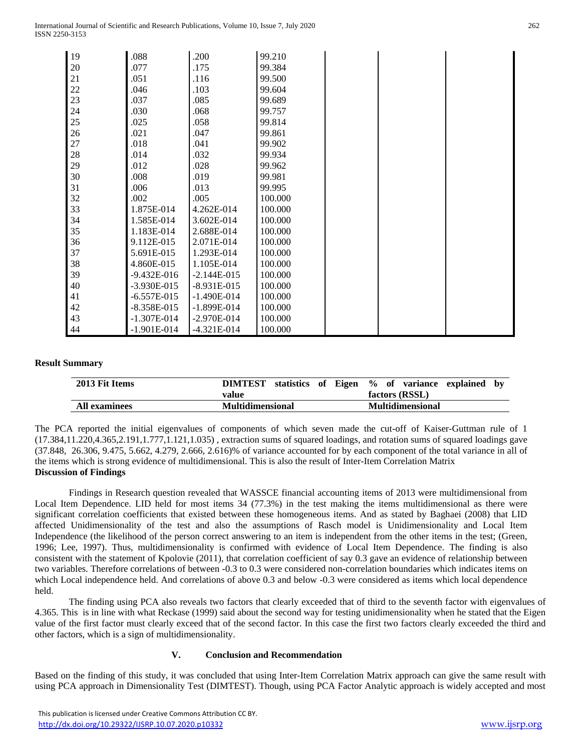International Journal of Scientific and Research Publications, Volume 10, Issue 7, July 2020 262 ISSN 2250-3153

| 19 | .088            | .200            | 99.210  |  |  |
|----|-----------------|-----------------|---------|--|--|
| 20 | .077            | .175            | 99.384  |  |  |
| 21 | .051            | .116            | 99.500  |  |  |
| 22 | .046            | .103            | 99.604  |  |  |
| 23 | .037            | .085            | 99.689  |  |  |
| 24 | .030            | .068            | 99.757  |  |  |
| 25 | .025            | .058            | 99.814  |  |  |
| 26 | .021            | .047            | 99.861  |  |  |
| 27 | .018            | .041            | 99.902  |  |  |
| 28 | .014            | .032            | 99.934  |  |  |
| 29 | .012            | .028            | 99.962  |  |  |
| 30 | .008            | .019            | 99.981  |  |  |
| 31 | .006            | .013            | 99.995  |  |  |
| 32 | .002            | .005            | 100.000 |  |  |
| 33 | 1.875E-014      | 4.262E-014      | 100.000 |  |  |
| 34 | 1.585E-014      | 3.602E-014      | 100.000 |  |  |
| 35 | 1.183E-014      | 2.688E-014      | 100.000 |  |  |
| 36 | 9.112E-015      | 2.071E-014      | 100.000 |  |  |
| 37 | 5.691E-015      | 1.293E-014      | 100.000 |  |  |
| 38 | 4.860E-015      | 1.105E-014      | 100.000 |  |  |
| 39 | $-9.432E - 016$ | $-2.144E - 015$ | 100.000 |  |  |
| 40 | $-3.930E - 015$ | $-8.931E-015$   | 100.000 |  |  |
| 41 | $-6.557E-015$   | $-1.490E - 014$ | 100.000 |  |  |
| 42 | $-8.358E - 015$ | $-1.899E - 014$ | 100.000 |  |  |
| 43 | $-1.307E - 014$ | $-2.970E - 014$ | 100.000 |  |  |
| 44 | $-1.901E-014$   | $-4.321E-014$   | 100.000 |  |  |

#### **Result Summary**

| 2013 Fit Items       | <b>DIMTEST</b>          | statistics of Eigen % of variance explained |
|----------------------|-------------------------|---------------------------------------------|
|                      | value                   | factors (RSSL)                              |
| <b>All examinees</b> | <b>Multidimensional</b> | <b>Multidimensional</b>                     |

The PCA reported the initial eigenvalues of components of which seven made the cut-off of Kaiser-Guttman rule of 1 (17.384,11.220,4.365,2.191,1.777,1.121,1.035) , extraction sums of squared loadings, and rotation sums of squared loadings gave (37.848, 26.306, 9.475, 5.662, 4.279, 2.666, 2.616)% of variance accounted for by each component of the total variance in all of the items which is strong evidence of multidimensional. This is also the result of Inter-Item Correlation Matrix **Discussion of Findings**

Findings in Research question revealed that WASSCE financial accounting items of 2013 were multidimensional from Local Item Dependence. LID held for most items 34 (77.3%) in the test making the items multidimensional as there were significant correlation coefficients that existed between these homogeneous items. And as stated by Baghaei (2008) that LID affected Unidimensionality of the test and also the assumptions of Rasch model is Unidimensionality and Local Item Independence (the likelihood of the person correct answering to an item is independent from the other items in the test; (Green, 1996; Lee, 1997). Thus, multidimensionality is confirmed with evidence of Local Item Dependence. The finding is also consistent with the statement of Kpolovie (2011), that correlation coefficient of say 0.3 gave an evidence of relationship between two variables. Therefore correlations of between -0.3 to 0.3 were considered non-correlation boundaries which indicates items on which Local independence held. And correlations of above 0.3 and below -0.3 were considered as items which local dependence held.

The finding using PCA also reveals two factors that clearly exceeded that of third to the seventh factor with eigenvalues of 4.365. This is in line with what Reckase (1999) said about the second way for testing unidimensionality when he stated that the Eigen value of the first factor must clearly exceed that of the second factor. In this case the first two factors clearly exceeded the third and other factors, which is a sign of multidimensionality.

### **V. Conclusion and Recommendation**

Based on the finding of this study, it was concluded that using Inter-Item Correlation Matrix approach can give the same result with using PCA approach in Dimensionality Test (DIMTEST). Though, using PCA Factor Analytic approach is widely accepted and most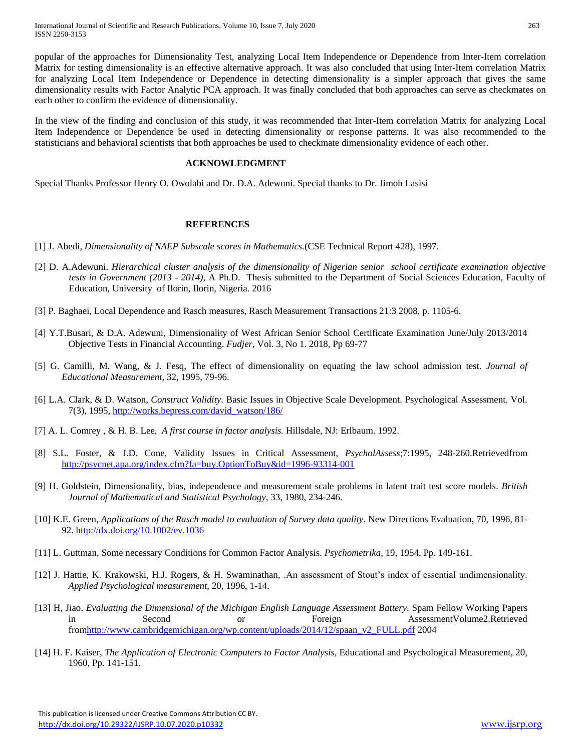popular of the approaches for Dimensionality Test, analyzing Local Item Independence or Dependence from Inter-Item correlation Matrix for testing dimensionality is an effective alternative approach. It was also concluded that using Inter-Item correlation Matrix for analyzing Local Item Independence or Dependence in detecting dimensionality is a simpler approach that gives the same dimensionality results with Factor Analytic PCA approach. It was finally concluded that both approaches can serve as checkmates on each other to confirm the evidence of dimensionality.

In the view of the finding and conclusion of this study, it was recommended that Inter-Item correlation Matrix for analyzing Local Item Independence or Dependence be used in detecting dimensionality or response patterns. It was also recommended to the statisticians and behavioral scientists that both approaches be used to checkmate dimensionality evidence of each other.

#### **ACKNOWLEDGMENT**

Special Thanks Professor Henry O. Owolabi and Dr. D.A. Adewuni. Special thanks to Dr. Jimoh Lasisi

### **REFERENCES**

- [1] J. Abedi, *Dimensionality of NAEP Subscale scores in Mathematics.*(CSE Technical Report 428), 1997.
- [2] D. A.Adewuni. *Hierarchical cluster analysis of the dimensionality of Nigerian senior school certificate examination objective tests in Government (2013 - 2014)*, A Ph.D. Thesis submitted to the Department of Social Sciences Education, Faculty of Education, University of Ilorin, Ilorin, Nigeria. 2016
- [3] P. Baghaei, Local Dependence and Rasch measures, Rasch Measurement Transactions 21:3 2008, p. 1105-6.
- [4] Y.T.Busari, & D.A. Adewuni, Dimensionality of West African Senior School Certificate Examination June/July 2013/2014 Objective Tests in Financial Accounting. *Fudjer*, Vol. 3, No 1. 2018, Pp 69-77
- [5] G. Camilli, M. Wang, & J. Fesq, The effect of dimensionality on equating the law school admission test. *Journal of Educational Measurement,* 32, 1995, 79-96.
- [6] L.A. Clark, & D. Watson, *Construct Validity*. Basic Issues in Objective Scale Development. Psychological Assessment. Vol. 7(3), 1995, [http://works.bepress.com/david\\_watson/186/](http://works.bepress.com/david_watson/186/)
- [7] A. L. Comrey , & H. B. Lee, *A first course in factor analysis.* Hillsdale, NJ: Erlbaum. 1992.
- [8] S.L. Foster, & J.D. Cone, Validity Issues in Critical Assessment, *PsycholAssess*;7:1995, 248-260.Retrievedfrom <http://psycnet.apa.org/index.cfm?fa=buy.OptionToBuy&id=1996-93314-001>
- [9] H. Goldstein, Dimensionality, bias, independence and measurement scale problems in latent trait test score models. *British Journal of Mathematical and Statistical Psychology*, 33, 1980, 234-246.
- [10] K.E. Green, *Applications of the Rasch model to evaluation of Survey data quality*. New Directions Evaluation, 70, 1996, 81- 92.<http://dx.doi.org/10.1002/ev.1036>
- [11] L. Guttman, Some necessary Conditions for Common Factor Analysis. *Psychometrika,* 19, 1954, Pp. 149-161.
- [12] J. Hattie, K. Krakowski, H.J. Rogers, & H. Swaminathan, .An assessment of Stout's index of essential undimensionality. *Applied Psychological measurement*, 20, 1996, 1-14.
- [13] H, Jiao. *Evaluating the Dimensional of the Michigan English Language Assessment Battery*. Spam Fellow Working Papers in Second or Foreign AssessmentVolume2.Retrieved fro[mhttp://www.cambridgemichigan.org/wp.content/uploads/2014/12/spaan\\_v2\\_FULL.pdf](http://www.cambridgemichigan.org/wp.content/uploads/2014/12/spaan_v2_FULL.pdf) 2004
- [14] H. F. Kaiser, *The Application of Electronic Computers to Factor Analysis,* Educational and Psychological Measurement, 20, 1960, Pp. 141-151.